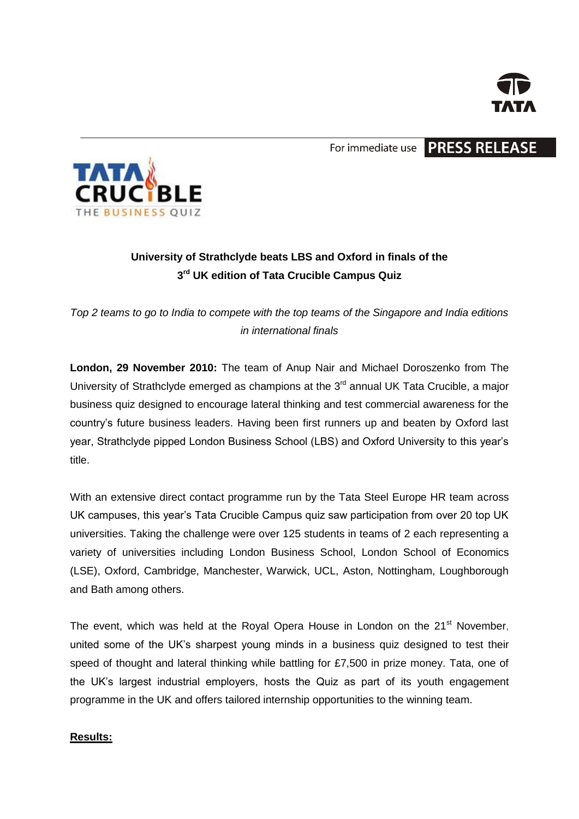

For immediate use **PRESS RELEASE** 



# **University of Strathclyde beats LBS and Oxford in finals of the 3 rd UK edition of Tata Crucible Campus Quiz**

*Top 2 teams to go to India to compete with the top teams of the Singapore and India editions in international finals*

**London, 29 November 2010:** The team of Anup Nair and Michael Doroszenko from The University of Strathclyde emerged as champions at the 3<sup>rd</sup> annual UK Tata Crucible, a major business quiz designed to encourage lateral thinking and test commercial awareness for the country's future business leaders. Having been first runners up and beaten by Oxford last year, Strathclyde pipped London Business School (LBS) and Oxford University to this year's title.

With an extensive direct contact programme run by the Tata Steel Europe HR team across UK campuses, this year's Tata Crucible Campus quiz saw participation from over 20 top UK universities. Taking the challenge were over 125 students in teams of 2 each representing a variety of universities including London Business School, London School of Economics (LSE), Oxford, Cambridge, Manchester, Warwick, UCL, Aston, Nottingham, Loughborough and Bath among others.

The event, which was held at the Royal Opera House in London on the 21<sup>st</sup> November, united some of the UK's sharpest young minds in a business quiz designed to test their speed of thought and lateral thinking while battling for £7,500 in prize money. Tata, one of the UK's largest industrial employers, hosts the Quiz as part of its youth engagement programme in the UK and offers tailored internship opportunities to the winning team.

### **Results:**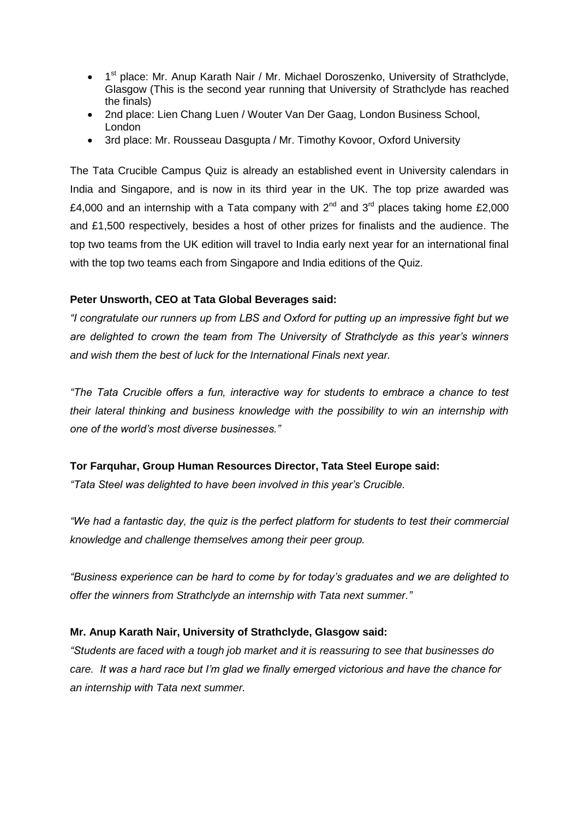- 1<sup>st</sup> place: Mr. Anup Karath Nair / Mr. Michael Doroszenko, University of Strathclyde, Glasgow (This is the second year running that University of Strathclyde has reached the finals)
- 2nd place: Lien Chang Luen / Wouter Van Der Gaag, London Business School, London
- 3rd place: Mr. Rousseau Dasgupta / Mr. Timothy Kovoor, Oxford University

The Tata Crucible Campus Quiz is already an established event in University calendars in India and Singapore, and is now in its third year in the UK. The top prize awarded was £4,000 and an internship with a Tata company with  $2^{nd}$  and  $3^{rd}$  places taking home £2,000 and £1,500 respectively, besides a host of other prizes for finalists and the audience. The top two teams from the UK edition will travel to India early next year for an international final with the top two teams each from Singapore and India editions of the Quiz.

### **Peter Unsworth, CEO at Tata Global Beverages said:**

*"I congratulate our runners up from LBS and Oxford for putting up an impressive fight but we are delighted to crown the team from The University of Strathclyde as this year's winners and wish them the best of luck for the International Finals next year.* 

*"The Tata Crucible offers a fun, interactive way for students to embrace a chance to test their lateral thinking and business knowledge with the possibility to win an internship with one of the world's most diverse businesses."*

### **Tor Farquhar, Group Human Resources Director, Tata Steel Europe said:**

*"Tata Steel was delighted to have been involved in this year's Crucible.* 

*"We had a fantastic day, the quiz is the perfect platform for students to test their commercial knowledge and challenge themselves among their peer group.* 

*"Business experience can be hard to come by for today's graduates and we are delighted to offer the winners from Strathclyde an internship with Tata next summer."*

### **Mr. Anup Karath Nair, University of Strathclyde, Glasgow said:**

*"Students are faced with a tough job market and it is reassuring to see that businesses do care. It was a hard race but I'm glad we finally emerged victorious and have the chance for an internship with Tata next summer.*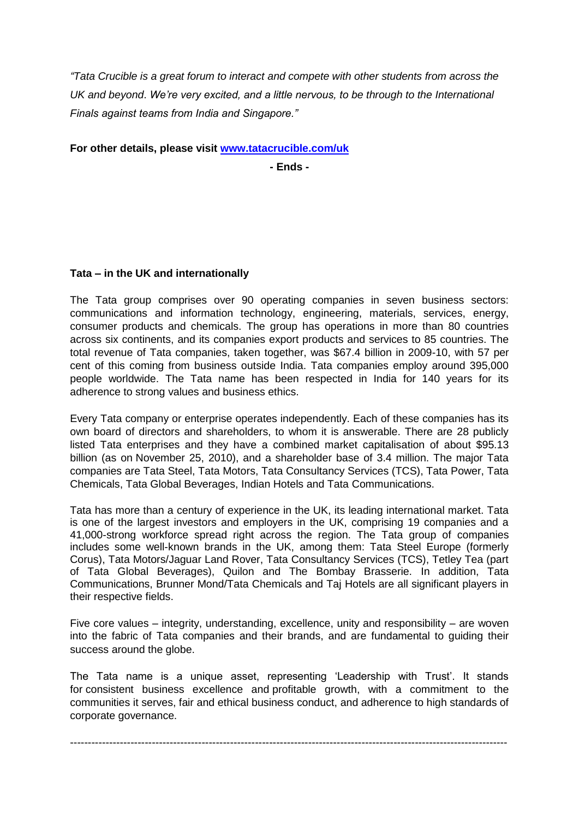*"Tata Crucible is a great forum to interact and compete with other students from across the UK and beyond*. *We're very excited, and a little nervous, to be through to the International Finals against teams from India and Singapore."*

**For other details, please visit [www.tatacrucible.com/uk](http://www.tatacrucible.com/uk)**

**- Ends -**

#### **Tata – in the UK and internationally**

The Tata group comprises over 90 operating companies in seven business sectors: communications and information technology, engineering, materials, services, energy, consumer products and chemicals. The group has operations in more than 80 countries across six continents, and its companies export products and services to 85 countries. The total revenue of Tata companies, taken together, was \$67.4 billion in 2009-10, with 57 per cent of this coming from business outside India. Tata companies employ around 395,000 people worldwide. The Tata name has been respected in India for 140 years for its adherence to strong values and business ethics.

Every Tata company or enterprise operates independently. Each of these companies has its own board of directors and shareholders, to whom it is answerable. There are 28 publicly listed Tata enterprises and they have a combined market capitalisation of about \$95.13 billion (as on November 25, 2010), and a shareholder base of 3.4 million. The major Tata companies are Tata Steel, Tata Motors, Tata Consultancy Services (TCS), Tata Power, Tata Chemicals, Tata Global Beverages, Indian Hotels and Tata Communications.

Tata has more than a century of experience in the UK, its leading international market. Tata is one of the largest investors and employers in the UK, comprising 19 companies and a 41,000-strong workforce spread right across the region. The Tata group of companies includes some well-known brands in the UK, among them: Tata Steel Europe (formerly Corus), Tata Motors/Jaguar Land Rover, Tata Consultancy Services (TCS), Tetley Tea (part of Tata Global Beverages), Quilon and The Bombay Brasserie. In addition, Tata Communications, Brunner Mond/Tata Chemicals and Taj Hotels are all significant players in their respective fields.

Five core values – integrity, understanding, excellence, unity and responsibility – are woven into the fabric of Tata companies and their brands, and are fundamental to guiding their success around the globe.

The Tata name is a unique asset, representing 'Leadership with Trust'. It stands for consistent business excellence and profitable growth, with a commitment to the communities it serves, fair and ethical business conduct, and adherence to high standards of corporate governance.

---------------------------------------------------------------------------------------------------------------------------